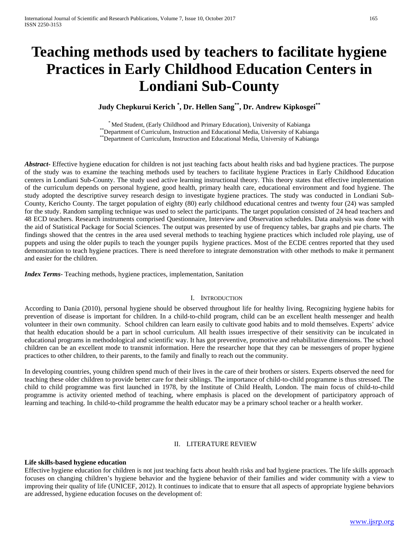# **Teaching methods used by teachers to facilitate hygiene Practices in Early Childhood Education Centers in Londiani Sub-County**

**Judy Chepkurui Kerich \* , Dr. Hellen Sang\*\*, Dr. Andrew Kipkosgei\*\***

\* Med Student, (Early Childhood and Primary Education), University of Kabianga \*\*Department of Curriculum, Instruction and Educational Media, University of Kabianga \*\*Department of Curriculum, Instruction and Educational Media, University of Kabianga

*Abstract***-** Effective hygiene education for children is not just teaching facts about health risks and bad hygiene practices. The purpose of the study was to examine the teaching methods used by teachers to facilitate hygiene Practices in Early Childhood Education centers in Londiani Sub-County. The study used active learning instructional theory. This theory states that effective implementation of the curriculum depends on personal hygiene, good health, primary health care, educational environment and food hygiene. The study adopted the descriptive survey research design to investigate hygiene practices. The study was conducted in Londiani Sub-County, Kericho County. The target population of eighty (80) early childhood educational centres and twenty four (24) was sampled for the study. Random sampling technique was used to select the participants. The target population consisted of 24 head teachers and 48 ECD teachers. Research instruments comprised Questionnaire, Interview and Observation schedules. Data analysis was done with the aid of Statistical Package for Social Sciences. The output was presented by use of frequency tables, bar graphs and pie charts. The findings showed that the centres in the area used several methods to teaching hygiene practices which included role playing, use of puppets and using the older pupils to teach the younger pupils hygiene practices. Most of the ECDE centres reported that they used demonstration to teach hygiene practices. There is need therefore to integrate demonstration with other methods to make it permanent and easier for the children.

*Index Terms*- Teaching methods, hygiene practices, implementation, Sanitation

#### I. INTRODUCTION

According to Dania (2010), personal hygiene should be observed throughout life for healthy living. Recognizing hygiene habits for prevention of disease is important for children. In a child-to-child program, child can be an excellent health messenger and health volunteer in their own community. School children can learn easily to cultivate good habits and to mold themselves. Experts' advice that health education should be a part in school curriculum. All health issues irrespective of their sensitivity can be inculcated in educational programs in methodological and scientific way. It has got preventive, promotive and rehabilitative dimensions. The school children can be an excellent mode to transmit information. Here the researcher hope that they can be messengers of proper hygiene practices to other children, to their parents, to the family and finally to reach out the community.

In developing countries, young children spend much of their lives in the care of their brothers or sisters. Experts observed the need for teaching these older children to provide better care for their siblings. The importance of child-to-child programme is thus stressed. The child to child programme was first launched in 1978, by the Institute of Child Health, London. The main focus of child-to-child programme is activity oriented method of teaching, where emphasis is placed on the development of participatory approach of learning and teaching. In child-to-child programme the health educator may be a primary school teacher or a health worker.

# II. LITERATURE REVIEW

# **Life skills-based hygiene education**

Effective hygiene education for children is not just teaching facts about health risks and bad hygiene practices. The life skills approach focuses on changing children's hygiene behavior and the hygiene behavior of their families and wider community with a view to improving their quality of life (UNICEF, 2012). It continues to indicate that to ensure that all aspects of appropriate hygiene behaviors are addressed, hygiene education focuses on the development of: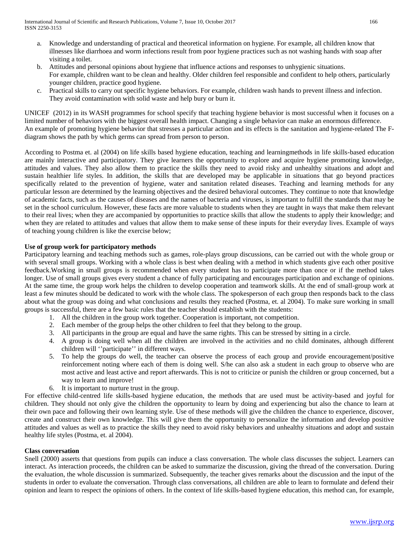- a. Knowledge and understanding of practical and theoretical information on hygiene. For example, all children know that illnesses like diarrhoea and worm infections result from poor hygiene practices such as not washing hands with soap after visiting a toilet.
- b. Attitudes and personal opinions about hygiene that influence actions and responses to unhygienic situations. For example, children want to be clean and healthy. Older children feel responsible and confident to help others, particularly younger children, practice good hygiene.
- c. Practical skills to carry out specific hygiene behaviors. For example, children wash hands to prevent illness and infection. They avoid contamination with solid waste and help bury or burn it.

UNICEF (2012) in its WASH programmes for school specify that teaching hygiene behavior is most successful when it focuses on a limited number of behaviors with the biggest overall health impact. Changing a single behavior can make an enormous difference. An example of promoting hygiene behavior that stresses a particular action and its effects is the sanitation and hygiene-related The Fdiagram shows the path by which germs can spread from person to person.

According to Postma et. al (2004) on life skills based hygiene education, teaching and learningmethods in life skills-based education are mainly interactive and participatory. They give learners the opportunity to explore and acquire hygiene promoting knowledge, attitudes and values. They also allow them to practice the skills they need to avoid risky and unhealthy situations and adopt and sustain healthier life styles. In addition, the skills that are developed may be applicable in situations that go beyond practices specifically related to the prevention of hygiene, water and sanitation related diseases. Teaching and learning methods for any particular lesson are determined by the learning objectives and the desired behavioral outcomes. They continue to note that knowledge of academic facts, such as the causes of diseases and the names of bacteria and viruses, is important to fulfill the standards that may be set in the school curriculum. However, these facts are more valuable to students when they are taught in ways that make them relevant to their real lives; when they are accompanied by opportunities to practice skills that allow the students to apply their knowledge; and when they are related to attitudes and values that allow them to make sense of these inputs for their everyday lives. Example of ways of teaching young children is like the exercise below;

# **Use of group work for participatory methods**

Participatory learning and teaching methods such as games, role-plays group discussions, can be carried out with the whole group or with several small groups. Working with a whole class is best when dealing with a method in which students give each other positive feedback.Working in small groups is recommended when every student has to participate more than once or if the method takes longer. Use of small groups gives every student a chance of fully participating and encourages participation and exchange of opinions. At the same time, the group work helps the children to develop cooperation and teamwork skills. At the end of small-group work at least a few minutes should be dedicated to work with the whole class. The spokesperson of each group then responds back to the class about what the group was doing and what conclusions and results they reached (Postma, et. al 2004). To make sure working in small groups is successful, there are a few basic rules that the teacher should establish with the students:

- 1. All the children in the group work together. Cooperation is important, not competition.
- 2. Each member of the group helps the other children to feel that they belong to the group.
- 3. All participants in the group are equal and have the same rights. This can be stressed by sitting in a circle.
- 4. A group is doing well when all the children are involved in the activities and no child dominates, although different children will ''participate'' in different ways.
- 5. To help the groups do well, the teacher can observe the process of each group and provide encouragement/positive reinforcement noting where each of them is doing well. S/he can also ask a student in each group to observe who are most active and least active and report afterwards. This is not to criticize or punish the children or group concerned, but a way to learn and improve!
- 6. It is important to nurture trust in the group.

For effective child-centred life skills-based hygiene education, the methods that are used must be activity-based and joyful for children. They should not only give the children the opportunity to learn by doing and experiencing but also the chance to learn at their own pace and following their own learning style. Use of these methods will give the children the chance to experience, discover, create and construct their own knowledge. This will give them the opportunity to personalize the information and develop positive attitudes and values as well as to practice the skills they need to avoid risky behaviors and unhealthy situations and adopt and sustain healthy life styles (Postma, et. al 2004).

# **Class conversation**

Snell (2000) asserts that questions from pupils can induce a class conversation. The whole class discusses the subject. Learners can interact. As interaction proceeds, the children can be asked to summarize the discussion, giving the thread of the conversation. During the evaluation, the whole discussion is summarized. Subsequently, the teacher gives remarks about the discussion and the input of the students in order to evaluate the conversation. Through class conversations, all children are able to learn to formulate and defend their opinion and learn to respect the opinions of others. In the context of life skills-based hygiene education, this method can, for example,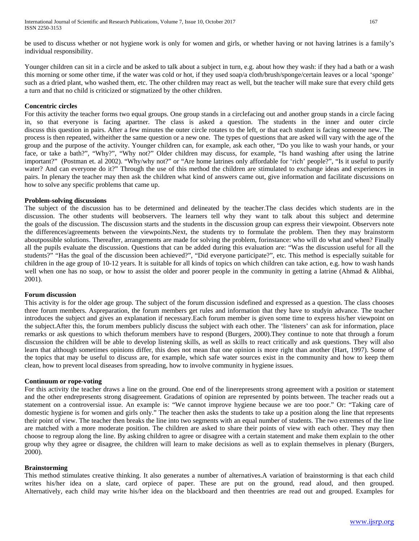be used to discuss whether or not hygiene work is only for women and girls, or whether having or not having latrines is a family's individual responsibility.

Younger children can sit in a circle and be asked to talk about a subject in turn, e.g. about how they wash: if they had a bath or a wash this morning or some other time, if the water was cold or hot, if they used soap/a cloth/brush/sponge/certain leaves or a local 'sponge' such as a dried plant, who washed them, etc. The other children may react as well, but the teacher will make sure that every child gets a turn and that no child is criticized or stigmatized by the other children.

#### **Concentric circles**

For this activity the teacher forms two equal groups. One group stands in a circlefacing out and another group stands in a circle facing in, so that everyone is facing apartner. The class is asked a question. The students in the inner and outer circle discuss this question in pairs. After a few minutes the outer circle rotates to the left, or that each student is facing someone new. The process is then repeated, witheither the same question or a new one. The types of questions that are asked will vary with the age of the group and the purpose of the activity. Younger children can, for example, ask each other, "Do you like to wash your hands, or your face, or take a bath?", "Why?", "Why not?" Older children may discuss, for example, "Is hand washing after using the latrine important?" (Postman et. al 2002). "Why/why not?" or "Are home latrines only affordable for 'rich' people?", "Is it useful to purify water? And can everyone do it?" Through the use of this method the children are stimulated to exchange ideas and experiences in pairs. In plenary the teacher may then ask the children what kind of answers came out, give information and facilitate discussions on how to solve any specific problems that came up.

#### **Problem-solving discussions**

The subject of the discussion has to be determined and delineated by the teacher.The class decides which students are in the discussion. The other students will beobservers. The learners tell why they want to talk about this subject and determine the goals of the discussion. The discussion starts and the students in the discussion group can express their viewpoint. Observers note the differences/agreements between the viewpoints.Next, the students try to formulate the problem. Then they may brainstorm aboutpossible solutions. Thereafter, arrangements are made for solving the problem, forinstance: who will do what and when? Finally all the pupils evaluate the discussion. Questions that can be added during this evaluation are: "Was the discussion useful for all the students?" "Has the goal of the discussion been achieved?", "Did everyone participate?", etc. This method is especially suitable for children in the age group of 10-12 years. It is suitable for all kinds of topics on which children can take action, e.g. how to wash hands well when one has no soap, or how to assist the older and poorer people in the community in getting a latrine (Ahmad & Alibhai, 2001).

#### **Forum discussion**

This activity is for the older age group. The subject of the forum discussion isdefined and expressed as a question. The class chooses three forum members. Aspreparation, the forum members get rules and information that they have to studyin advance. The teacher introduces the subject and gives an explanation if necessary.Each forum member is given some time to express his/her viewpoint on the subject.After this, the forum members publicly discuss the subject with each other. The 'listeners' can ask for information, place remarks or ask questions to which theforum members have to respond (Burgers, 2000).They continue to note that through a forum discussion the children will be able to develop listening skills, as well as skills to react critically and ask questions. They will also learn that although sometimes opinions differ, this does not mean that one opinion is more right than another (Hart, 1997). Some of the topics that may be useful to discuss are, for example, which safe water sources exist in the community and how to keep them clean, how to prevent local diseases from spreading, how to involve community in hygiene issues.

#### **Continuum or rope-voting**

For this activity the teacher draws a line on the ground. One end of the linerepresents strong agreement with a position or statement and the other endrepresents strong disagreement. Gradations of opinion are represented by points between. The teacher reads out a statement on a controversial issue. An example is: "We cannot improve hygiene because we are too poor." Or: "Taking care of domestic hygiene is for women and girls only." The teacher then asks the students to take up a position along the line that represents their point of view. The teacher then breaks the line into two segments with an equal number of students. The two extremes of the line are matched with a more moderate position. The children are asked to share their points of view with each other. They may then choose to regroup along the line. By asking children to agree or disagree with a certain statement and make them explain to the other group why they agree or disagree, the children will learn to make decisions as well as to explain themselves in plenary (Burgers, 2000).

#### **Brainstorming**

This method stimulates creative thinking. It also generates a number of alternatives.A variation of brainstorming is that each child writes his/her idea on a slate, card orpiece of paper. These are put on the ground, read aloud, and then grouped. Alternatively, each child may write his/her idea on the blackboard and then theentries are read out and grouped. Examples for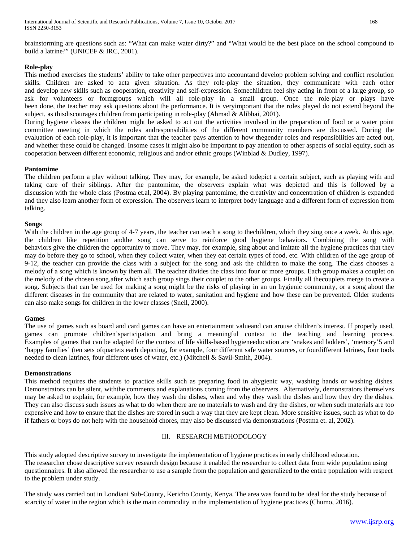# **Role-play**

This method exercises the students' ability to take other perpectives into accountand develop problem solving and conflict resolution skills. Children are asked to acta given situation. As they role-play the situation, they communicate with each other and develop new skills such as cooperation, creativity and self-expression. Somechildren feel shy acting in front of a large group, so ask for volunteers or formgroups which will all role-play in a small group. Once the role-play or plays have been done, the teacher may ask questions about the performance. It is veryimportant that the roles played do not extend beyond the subject, as thisdiscourages children from participating in role-play (Ahmad & Alibhai, 2001).

During hygiene classes the children might be asked to act out the activities involved in the preparation of food or a water point committee meeting in which the roles andresponsibilities of the different community members are discussed. During the evaluation of each role-play, it is important that the teacher pays attention to how thegender roles and responsibilities are acted out, and whether these could be changed. Insome cases it might also be important to pay attention to other aspects of social equity, such as cooperation between different economic, religious and and/or ethnic groups (Winblad & Dudley, 1997).

# **Pantomime**

The children perform a play without talking. They may, for example, be asked todepict a certain subject, such as playing with and taking care of their siblings. After the pantomime, the observers explain what was depicted and this is followed by a discussion with the whole class (Postma et.al, 2004). By playing pantomime, the creativity and concentration of children is expanded and they also learn another form of expression. The observers learn to interpret body language and a different form of expression from talking.

#### **Songs**

With the children in the age group of 4-7 years, the teacher can teach a song to the children, which they sing once a week. At this age, the children like repetition andthe song can serve to reinforce good hygiene behaviors. Combining the song with behaviors give the children the opportunity to move. They may, for example, sing about and imitate all the hygiene practices that they may do before they go to school, when they collect water, when they eat certain types of food, etc. With children of the age group of 9-12, the teacher can provide the class with a subject for the song and ask the children to make the song. The class chooses a melody of a song which is known by them all. The teacher divides the class into four or more groups. Each group makes a couplet on the melody of the chosen song,after which each group sings their couplet to the other groups. Finally all thecouplets merge to create a song. Subjects that can be used for making a song might be the risks of playing in an un hygienic community, or a song about the different diseases in the community that are related to water, sanitation and hygiene and how these can be prevented. Older students can also make songs for children in the lower classes (Snell, 2000).

#### **Games**

The use of games such as board and card games can have an entertainment valueand can arouse children's interest. If properly used, games can promote children'sparticipation and bring a meaningful context to the teaching and learning process. Examples of games that can be adapted for the context of life skills-based hygieneeducation are 'snakes and ladders', 'memory'5 and 'happy families' (ten sets ofquartets each depicting, for example, four different safe water sources, or fourdifferent latrines, four tools needed to clean latrines, four different uses of water, etc.) (Mitchell & Savil-Smith, 2004).

#### **Demonstrations**

This method requires the students to practice skills such as preparing food in ahygienic way, washing hands or washing dishes. Demonstrators can be silent, withthe comments and explanations coming from the observers. Alternatively, demonstrators themselves may be asked to explain, for example, how they wash the dishes, when and why they wash the dishes and how they dry the dishes. They can also discuss such issues as what to do when there are no materials to wash and dry the dishes, or when such materials are too expensive and how to ensure that the dishes are stored in such a way that they are kept clean. More sensitive issues, such as what to do if fathers or boys do not help with the household chores, may also be discussed via demonstrations (Postma et. al, 2002).

# III. RESEARCH METHODOLOGY

This study adopted descriptive survey to investigate the implementation of hygiene practices in early childhood education. The researcher chose descriptive survey research design because it enabled the researcher to collect data from wide population using questionnaires. It also allowed the researcher to use a sample from the population and generalized to the entire population with respect to the problem under study.

The study was carried out in Londiani Sub-County, Kericho County, Kenya. The area was found to be ideal for the study because of scarcity of water in the region which is the main commodity in the implementation of hygiene practices (Chumo, 2016).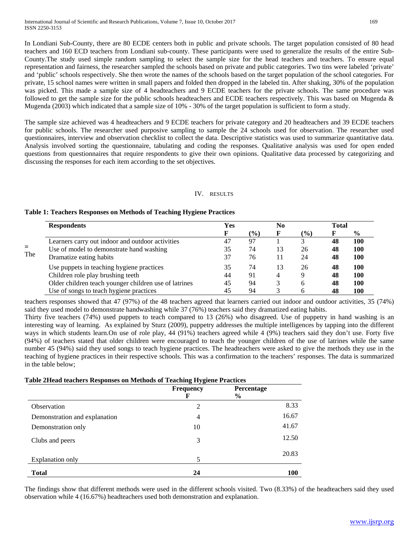In Londiani Sub-County, there are 80 ECDE centers both in public and private schools. The target population consisted of 80 head teachers and 160 ECD teachers from Londiani sub-county. These participants were used to generalize the results of the entire Sub-County.The study used simple random sampling to select the sample size for the head teachers and teachers. To ensure equal representation and fairness, the researcher sampled the schools based on private and public categories. Two tins were labeled 'private' and 'public' schools respectively. She then wrote the names of the schools based on the target population of the school categories. For private, 15 school names were written in small papers and folded then dropped in the labeled tin. After shaking, 30% of the population was picked. This made a sample size of 4 headteachers and 9 ECDE teachers for the private schools. The same procedure was followed to get the sample size for the public schools headteachers and ECDE teachers respectively. This was based on Mugenda & Mugenda (2003) which indicated that a sample size of 10% - 30% of the target population is sufficient to form a study.

The sample size achieved was 4 headteachers and 9 ECDE teachers for private category and 20 headteachers and 39 ECDE teachers for public schools. The researcher used purposive sampling to sample the 24 schools used for observation. The researcher used questionnaires, interview and observation checklist to collect the data. Descriptive statistics was used to summarize quantitative data. Analysis involved sorting the questionnaire, tabulating and coding the responses. Qualitative analysis was used for open ended questions from questionnaires that require respondents to give their own opinions. Qualitative data processed by categorizing and discussing the responses for each item according to the set objectives.

# IV. RESULTS

# **Table 1: Teachers Responses on Methods of Teaching Hygiene Practices**

|     | <b>Respondents</b>                                    | Yes |               | N <sub>0</sub> |               | <b>Total</b> |               |
|-----|-------------------------------------------------------|-----|---------------|----------------|---------------|--------------|---------------|
|     |                                                       |     | $\frac{9}{6}$ | F              | $\frac{9}{0}$ |              | $\frac{6}{9}$ |
| $=$ | Learners carry out indoor and outdoor activities      | 47  | 97            |                |               | 48           | 100           |
|     | Use of model to demonstrate hand washing              | 35  | 74            | 13             | 26            | 48           | 100           |
| The | Dramatize eating habits                               | 37  | 76            |                | 24            | 48           | 100           |
|     | Use puppets in teaching hygiene practices             | 35  | 74            | 13             | 26            | 48           | 100           |
|     | Children role play brushing teeth                     | 44  | 91            | 4              | 9             | 48           | 100           |
|     | Older children teach younger children use of latrines | 45  | 94            |                | 6             | 48           | 100           |
|     | Use of songs to teach hygiene practices               | 45  | 94            |                |               | 48           | 100           |

teachers responses showed that 47 (97%) of the 48 teachers agreed that learners carried out indoor and outdoor activities, 35 (74%) said they used model to demonstrate handwashing while 37 (76%) teachers said they dramatized eating habits.

Thirty five teachers (74%) used puppets to teach compared to 13 (26%) who disagreed. Use of puppetry in hand washing is an interesting way of learning. As explained by Sturz (2009), puppetry addresses the multiple intelligences by tapping into the different ways in which students learn.On use of role play, 44 (91%) teachers agreed while 4 (9%) teachers said they don't use. Forty five (94%) of teachers stated that older children were encouraged to teach the younger children of the use of latrines while the same number 45 (94%) said they used songs to teach hygiene practices. The headteachers were asked to give the methods they use in the teaching of hygiene practices in their respective schools. This was a confirmation to the teachers' responses. The data is summarized in the table below;

#### **Table 2Head teachers Responses on Methods of Teaching Hygiene Practices**

|                               | <b>Frequency</b><br>F | Percentage<br>$\frac{6}{9}$ |            |
|-------------------------------|-----------------------|-----------------------------|------------|
| Observation                   | 2                     |                             | 8.33       |
| Demonstration and explanation | 4                     |                             | 16.67      |
| Demonstration only            | 10                    |                             | 41.67      |
| Clubs and peers               | 3                     |                             | 12.50      |
| <b>Explanation only</b>       | 5                     |                             | 20.83      |
| <b>Total</b>                  | 24                    |                             | <b>100</b> |

The findings show that different methods were used in the different schools visited. Two (8.33%) of the headteachers said they used observation while 4 (16.67%) headteachers used both demonstration and explanation.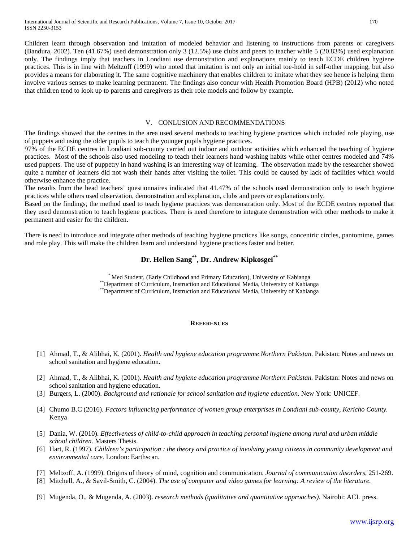Children learn through observation and imitation of modeled behavior and listening to instructions from parents or caregivers (Bandura, 2002). Ten (41.67%) used demonstration only 3 (12.5%) use clubs and peers to teacher while 5 (20.83%) used explanation only. The findings imply that teachers in Londiani use demonstration and explanations mainly to teach ECDE children hygiene practices. This is in line with Meltzoff (1999) who noted that imitation is not only an initial toe-hold in self-other mapping, but also provides a means for elaborating it. The same cognitive machinery that enables children to imitate what they see hence is helping them involve various senses to make learning permanent. The findings also concur with Health Promotion Board (HPB) (2012) who noted that children tend to look up to parents and caregivers as their role models and follow by example.

#### V. CONLUSION AND RECOMMENDATIONS

The findings showed that the centres in the area used several methods to teaching hygiene practices which included role playing, use of puppets and using the older pupils to teach the younger pupils hygiene practices.

97% of the ECDE centres in Londiani sub-county carried out indoor and outdoor activities which enhanced the teaching of hygiene practices. Most of the schools also used modeling to teach their learners hand washing habits while other centres modeled and 74% used puppets. The use of puppetry in hand washing is an interesting way of learning. The observation made by the researcher showed quite a number of learners did not wash their hands after visiting the toilet. This could be caused by lack of facilities which would otherwise enhance the practice.

The results from the head teachers' questionnaires indicated that 41.47% of the schools used demonstration only to teach hygiene practices while others used observation, demonstration and explanation, clubs and peers or explanations only.

Based on the findings, the method used to teach hygiene practices was demonstration only. Most of the ECDE centres reported that they used demonstration to teach hygiene practices. There is need therefore to integrate demonstration with other methods to make it permanent and easier for the children.

There is need to introduce and integrate other methods of teaching hygiene practices like songs, concentric circles, pantomime, games and role play. This will make the children learn and understand hygiene practices faster and better.

# **Dr. Hellen Sang\*\*, Dr. Andrew Kipkosgei\*\***

\* Med Student, (Early Childhood and Primary Education), University of Kabianga \*\*Department of Curriculum, Instruction and Educational Media, University of Kabianga

\*\*Department of Curriculum, Instruction and Educational Media, University of Kabianga

#### **REFERENCES**

- [1] Ahmad, T., & Alibhai, K. (2001). *Health and hygiene education programme Northern Pakistan.* Pakistan: Notes and news on school sanitation and hygiene education.
- [2] Ahmad, T., & Alibhai, K. (2001). *Health and hygiene education programme Northern Pakistan.* Pakistan: Notes and news on school sanitation and hygiene education.
- [3] Burgers, L. (2000). *Background and rationale for school sanitation and hygiene education.* New York: UNICEF.
- [4] Chumo B.C (2016). *Factors influencing performance of women group enterprises in Londiani sub-county, Kericho County.* Kenya
- [5] Dania, W. (2010). *Effectiveness of child-to-child approach in teaching personal hygiene among rural and urban middle school children.* Masters Thesis.
- [6] Hart, R. (1997). *Children's participation : the theory and practice of involving young citizens in community development and environmental care.* London: Earthscan.
- [7] Meltzoff, A. (1999). Origins of theory of mind, cognition and communication. *Journal of communication disorders*, 251-269.
- [8] Mitchell, A., & Savil-Smith, C. (2004). *The use of computer and video games for learning: A review of the literature.*
- [9] Mugenda, O., & Mugenda, A. (2003). *research methods (qualitative and quantitative approaches).* Nairobi: ACL press.